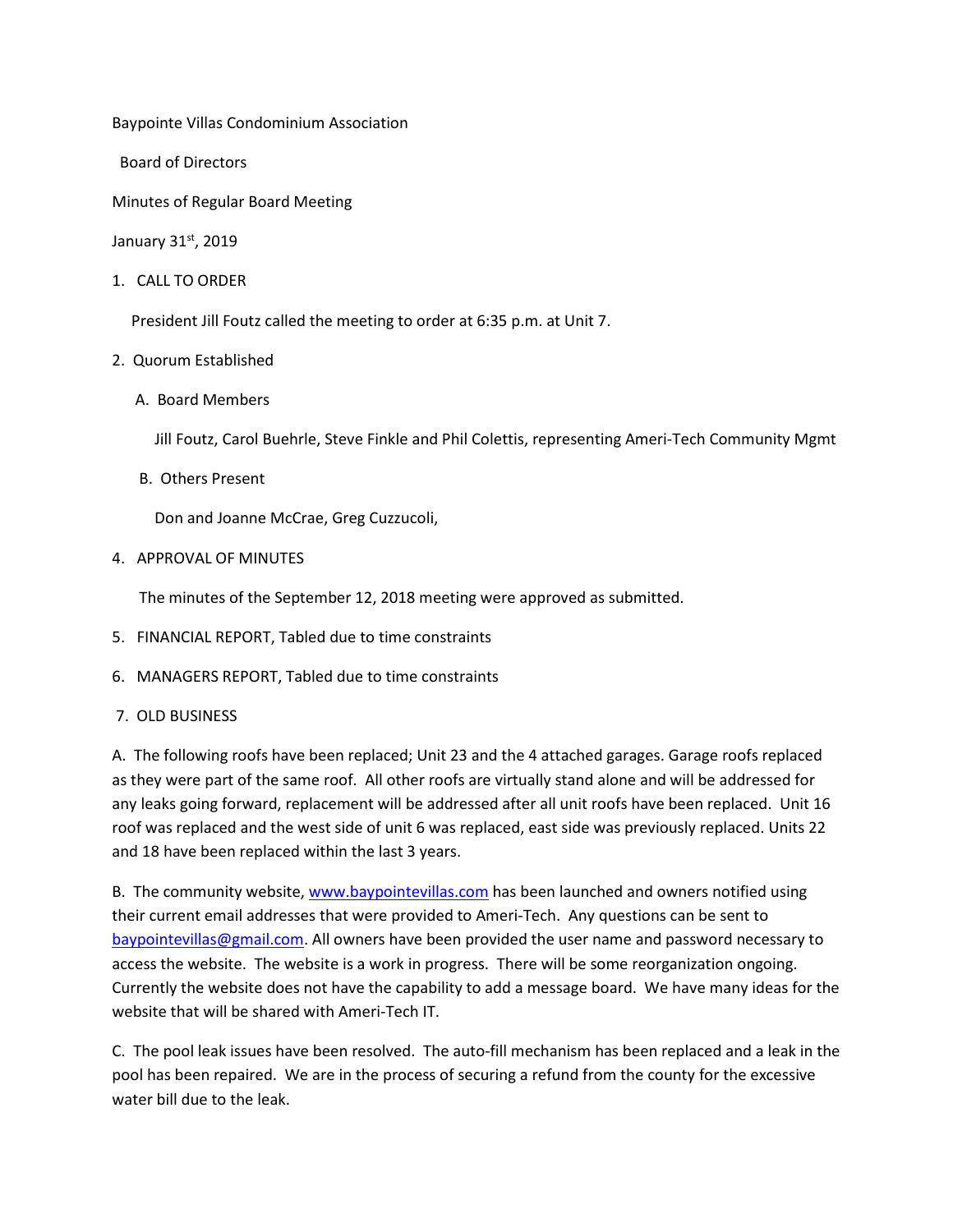Baypointe Villas Condominium Association

Board of Directors

Minutes of Regular Board Meeting

January 31st, 2019

1. CALL TO ORDER

President Jill Foutz called the meeting to order at 6:35 p.m. at Unit 7.

- 2. Quorum Established
	- A. Board Members

Jill Foutz, Carol Buehrle, Steve Finkle and Phil Colettis, representing Ameri-Tech Community Mgmt

B. Others Present

Don and Joanne McCrae, Greg Cuzzucoli,

4. APPROVAL OF MINUTES

The minutes of the September 12, 2018 meeting were approved as submitted.

- 5. FINANCIAL REPORT, Tabled due to time constraints
- 6. MANAGERS REPORT, Tabled due to time constraints
- 7. OLD BUSINESS

A. The following roofs have been replaced; Unit 23 and the 4 attached garages. Garage roofs replaced as they were part of the same roof. All other roofs are virtually stand alone and will be addressed for any leaks going forward, replacement will be addressed after all unit roofs have been replaced. Unit 16 roof was replaced and the west side of unit 6 was replaced, east side was previously replaced. Units 22 and 18 have been replaced within the last 3 years.

B. The community website, [www.baypointevillas.com](http://www.baypointevillas.com/) has been launched and owners notified using their current email addresses that were provided to Ameri-Tech. Any questions can be sent to [baypointevillas@gmail.com.](mailto:baypointevillas@gmail.com) All owners have been provided the user name and password necessary to access the website. The website is a work in progress. There will be some reorganization ongoing. Currently the website does not have the capability to add a message board. We have many ideas for the website that will be shared with Ameri-Tech IT.

C. The pool leak issues have been resolved. The auto-fill mechanism has been replaced and a leak in the pool has been repaired. We are in the process of securing a refund from the county for the excessive water bill due to the leak.